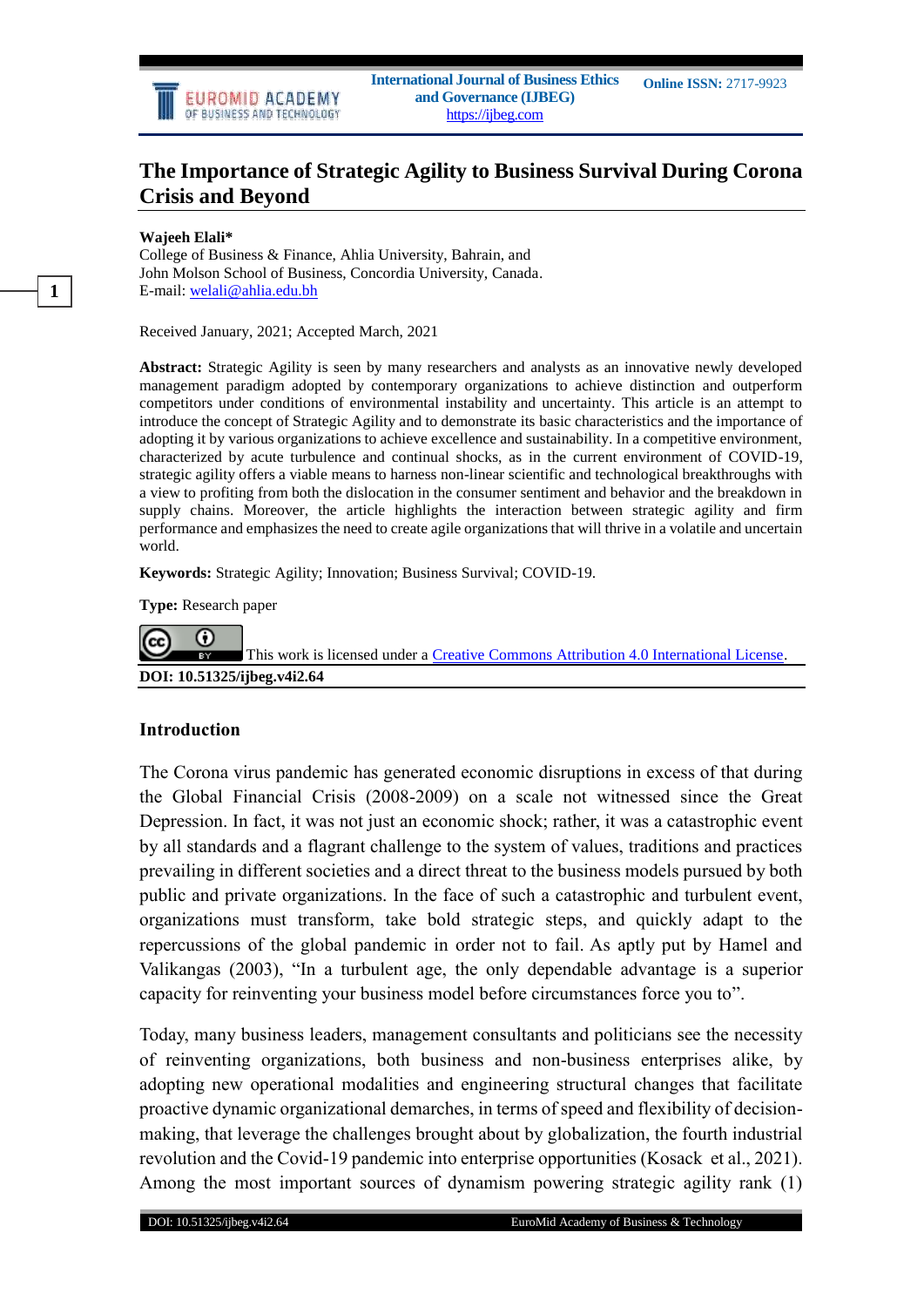

# **The Importance of Strategic Agility to Business Survival During Corona Crisis and Beyond**

#### **Wajeeh Elali\***

College of Business & Finance, Ahlia University, Bahrain, and John Molson School of Business, Concordia University, Canada. E-mail: welali@ahlia.edu.bh

Received January, 2021; Accepted March, 2021

**Abstract:** Strategic Agility is seen by many researchers and analysts as an innovative newly developed management paradigm adopted by contemporary organizations to achieve distinction and outperform competitors under conditions of environmental instability and uncertainty. This article is an attempt to introduce the concept of Strategic Agility and to demonstrate its basic characteristics and the importance of adopting it by various organizations to achieve excellence and sustainability. In a competitive environment, characterized by acute turbulence and continual shocks, as in the current environment of COVID-19, strategic agility offers a viable means to harness non-linear scientific and technological breakthroughs with a view to profiting from both the dislocation in the consumer sentiment and behavior and the breakdown in supply chains. Moreover, the article highlights the interaction between strategic agility and firm performance and emphasizes the need to create agile organizations that will thrive in a volatile and uncertain world.

**Keywords:** Strategic Agility; Innovation; Business Survival; COVID-19.

**Type:** Research paper



This work is licensed under a [Creative Commons Attribution 4.0 International License.](http://creativecommons.org/licenses/by/4.0/) **DOI: 10.51325/ijbeg.v4i2.64**

#### **Introduction**

The Corona virus pandemic has generated economic disruptions in excess of that during the Global Financial Crisis (2008-2009) on a scale not witnessed since the Great Depression. In fact, it was not just an economic shock; rather, it was a catastrophic event by all standards and a flagrant challenge to the system of values, traditions and practices prevailing in different societies and a direct threat to the business models pursued by both public and private organizations. In the face of such a catastrophic and turbulent event, organizations must transform, take bold strategic steps, and quickly adapt to the repercussions of the global pandemic in order not to fail. As aptly put by Hamel and Valikangas (2003), "In a turbulent age, the only dependable advantage is a superior capacity for reinventing your business model before circumstances force you to".

Today, many business leaders, management consultants and politicians see the necessity of reinventing organizations, both business and non-business enterprises alike, by adopting new operational modalities and engineering structural changes that facilitate proactive dynamic organizational demarches, in terms of speed and flexibility of decisionmaking, that leverage the challenges brought about by globalization, the fourth industrial revolution and the Covid-19 pandemic into enterprise opportunities (Kosack et al., 2021). Among the most important sources of dynamism powering strategic agility rank (1)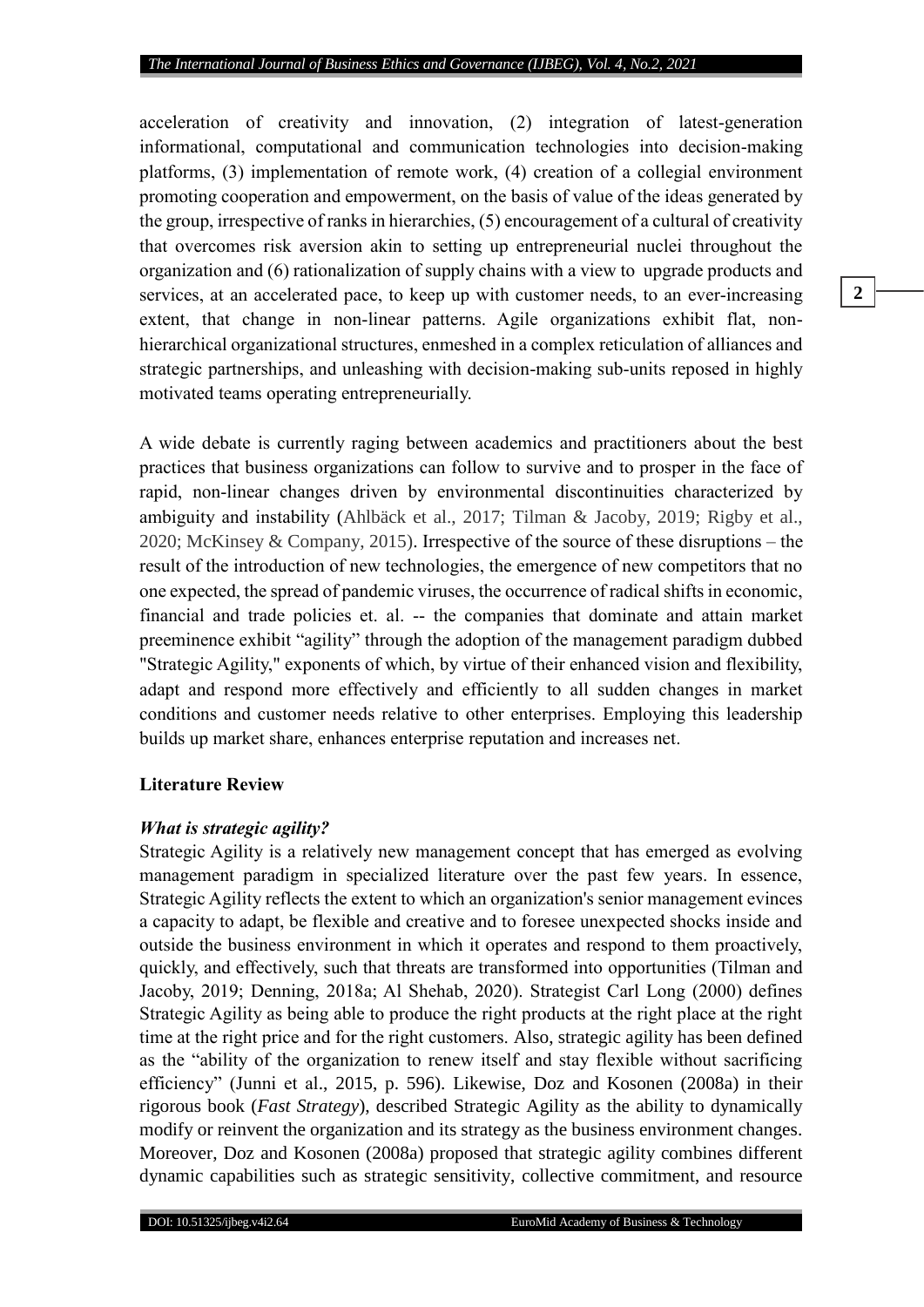acceleration of creativity and innovation, (2) integration of latest-generation informational, computational and communication technologies into decision-making platforms, (3) implementation of remote work, (4) creation of a collegial environment promoting cooperation and empowerment, on the basis of value of the ideas generated by the group, irrespective of ranks in hierarchies, (5) encouragement of a cultural of creativity that overcomes risk aversion akin to setting up entrepreneurial nuclei throughout the organization and (6) rationalization of supply chains with a view to upgrade products and services, at an accelerated pace, to keep up with customer needs, to an ever-increasing extent, that change in non-linear patterns. Agile organizations exhibit flat, nonhierarchical organizational structures, enmeshed in a complex reticulation of alliances and strategic partnerships, and unleashing with decision-making sub-units reposed in highly motivated teams operating entrepreneurially.

A wide debate is currently raging between academics and practitioners about the best practices that business organizations can follow to survive and to prosper in the face of rapid, non-linear changes driven by environmental discontinuities characterized by ambiguity and instability (Ahlbäck et al., 2017; Tilman & Jacoby, 2019; Rigby et al., 2020; McKinsey & Company, 2015). Irrespective of the source of these disruptions – the result of the introduction of new technologies, the emergence of new competitors that no one expected, the spread of pandemic viruses, the occurrence of radical shifts in economic, financial and trade policies et. al. -- the companies that dominate and attain market preeminence exhibit "agility" through the adoption of the management paradigm dubbed "Strategic Agility," exponents of which, by virtue of their enhanced vision and flexibility, adapt and respond more effectively and efficiently to all sudden changes in market conditions and customer needs relative to other enterprises. Employing this leadership builds up market share, enhances enterprise reputation and increases net.

### **Literature Review**

#### *What is strategic agility?*

Strategic Agility is a relatively new management concept that has emerged as evolving management paradigm in specialized literature over the past few years. In essence, Strategic Agility reflects the extent to which an organization's senior management evinces a capacity to adapt, be flexible and creative and to foresee unexpected shocks inside and outside the business environment in which it operates and respond to them proactively, quickly, and effectively, such that threats are transformed into opportunities (Tilman and Jacoby, 2019; Denning, 2018a; Al Shehab, 2020). Strategist Carl Long (2000) defines Strategic Agility as being able to produce the right products at the right place at the right time at the right price and for the right customers. Also, strategic agility has been defined as the "ability of the organization to renew itself and stay flexible without sacrificing efficiency" (Junni et al., 2015, p. 596). Likewise, Doz and Kosonen (2008a) in their rigorous book (*Fast Strategy*), described Strategic Agility as the ability to dynamically modify or reinvent the organization and its strategy as the business environment changes. Moreover, Doz and Kosonen (2008a) proposed that strategic agility combines different dynamic capabilities such as strategic sensitivity, collective commitment, and resource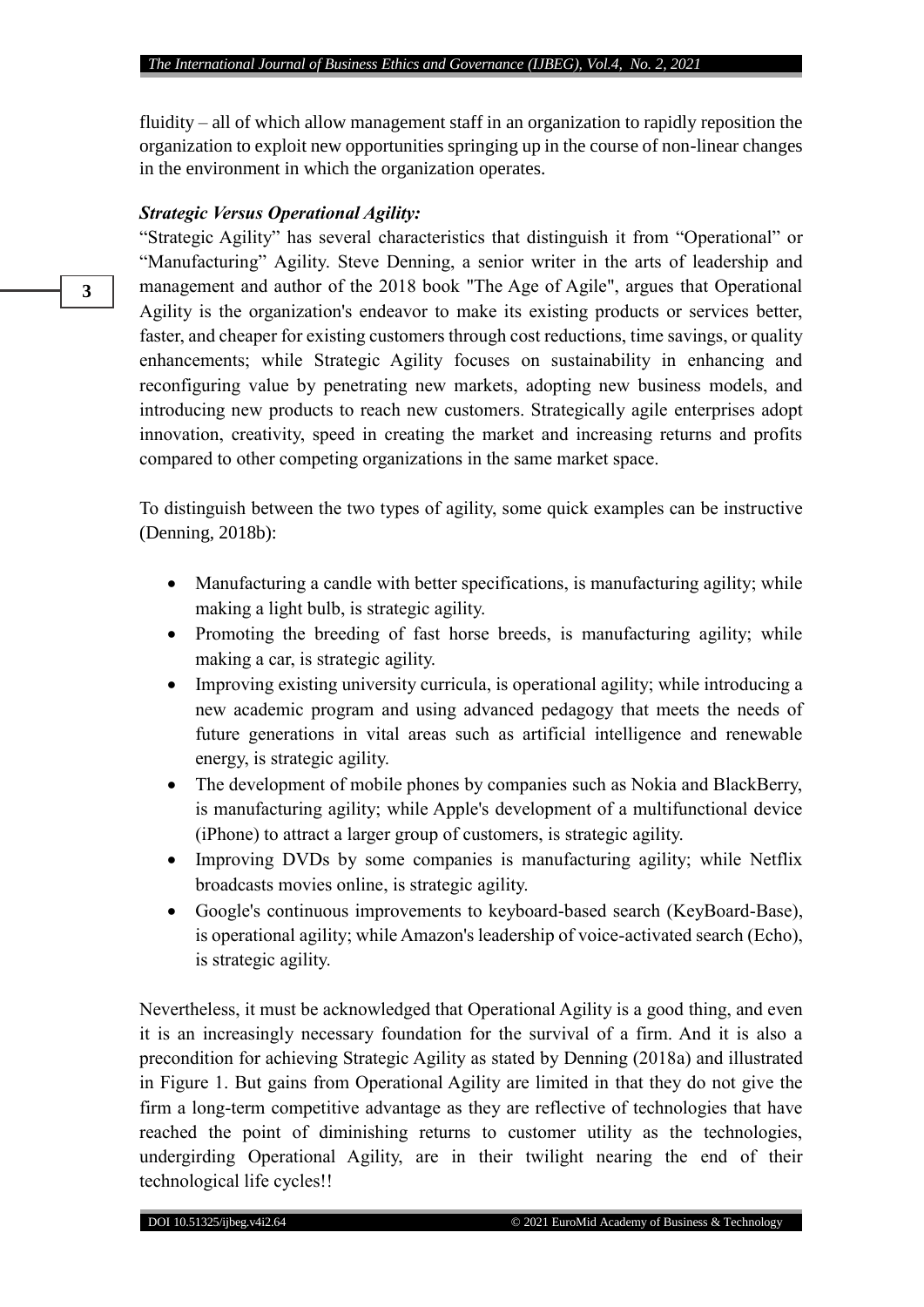fluidity – all of which allow management staff in an organization to rapidly reposition the organization to exploit new opportunities springing up in the course of non-linear changes in the environment in which the organization operates.

### *Strategic Versus Operational Agility:*

"Strategic Agility" has several characteristics that distinguish it from "Operational" or "Manufacturing" Agility. Steve Denning, a senior writer in the arts of leadership and management and author of the 2018 book "The Age of Agile", argues that Operational Agility is the organization's endeavor to make its existing products or services better, faster, and cheaper for existing customers through cost reductions, time savings, or quality enhancements; while Strategic Agility focuses on sustainability in enhancing and reconfiguring value by penetrating new markets, adopting new business models, and introducing new products to reach new customers. Strategically agile enterprises adopt innovation, creativity, speed in creating the market and increasing returns and profits compared to other competing organizations in the same market space.

To distinguish between the two types of agility, some quick examples can be instructive (Denning, 2018b):

- Manufacturing a candle with better specifications, is manufacturing agility; while making a light bulb, is strategic agility.
- Promoting the breeding of fast horse breeds, is manufacturing agility; while making a car, is strategic agility.
- Improving existing university curricula, is operational agility; while introducing a new academic program and using advanced pedagogy that meets the needs of future generations in vital areas such as artificial intelligence and renewable energy, is strategic agility.
- The development of mobile phones by companies such as Nokia and BlackBerry, is manufacturing agility; while Apple's development of a multifunctional device (iPhone) to attract a larger group of customers, is strategic agility.
- Improving DVDs by some companies is manufacturing agility; while Netflix broadcasts movies online, is strategic agility.
- Google's continuous improvements to keyboard-based search (KeyBoard-Base), is operational agility; while Amazon's leadership of voice-activated search (Echo), is strategic agility.

Nevertheless, it must be acknowledged that Operational Agility is a good thing, and even it is an increasingly necessary foundation for the survival of a firm. And it is also a precondition for achieving Strategic Agility as stated by Denning (2018a) and illustrated in Figure 1. But gains from Operational Agility are limited in that they do not give the firm a long-term competitive advantage as they are reflective of technologies that have reached the point of diminishing returns to customer utility as the technologies, undergirding Operational Agility, are in their twilight nearing the end of their technological life cycles!!

**3**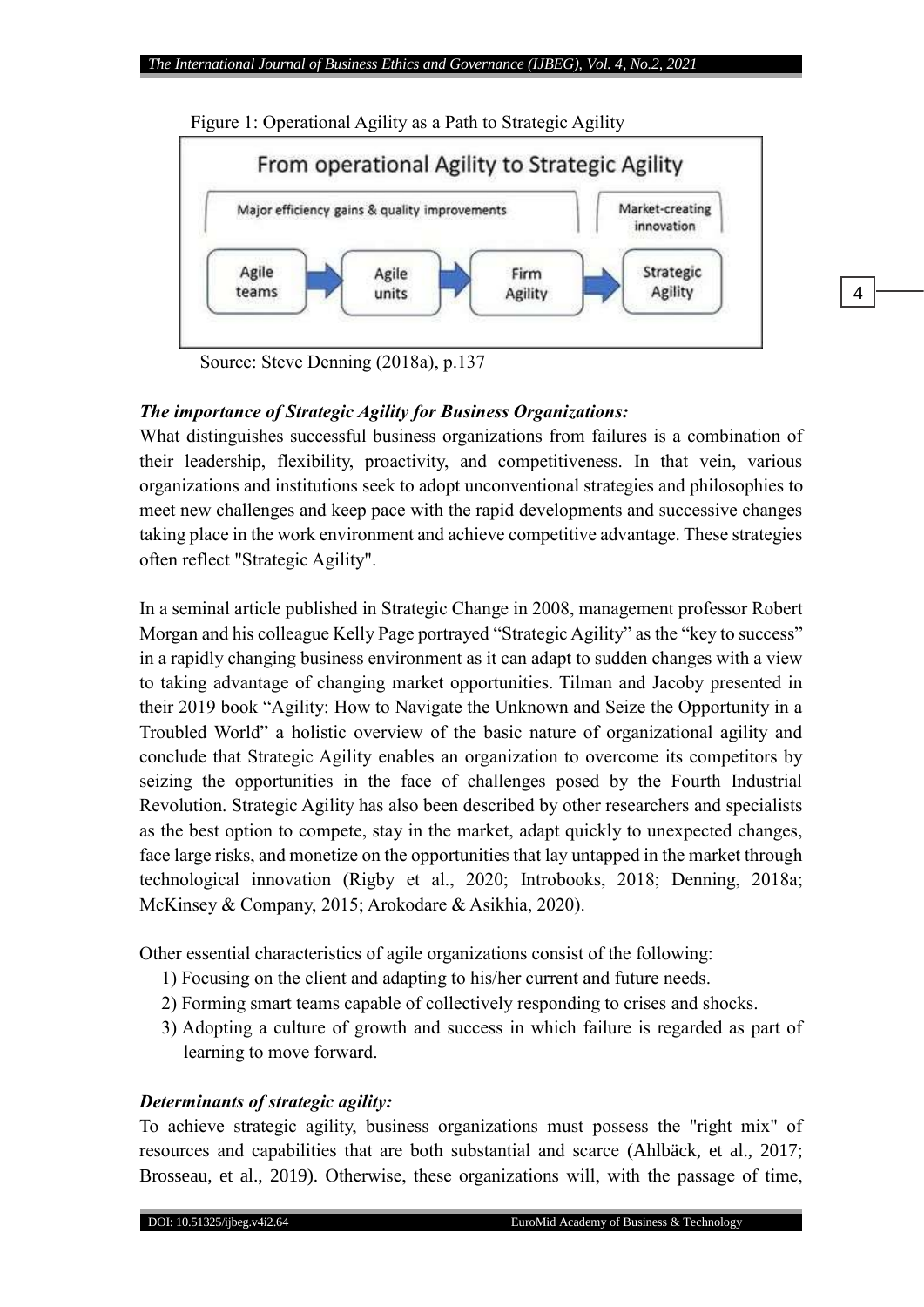

Figure 1: Operational Agility as a Path to Strategic Agility

Source: Steve Denning (2018a), p.137

## *The importance of Strategic Agility for Business Organizations:*

What distinguishes successful business organizations from failures is a combination of their leadership, flexibility, proactivity, and competitiveness. In that vein, various organizations and institutions seek to adopt unconventional strategies and philosophies to meet new challenges and keep pace with the rapid developments and successive changes taking place in the work environment and achieve competitive advantage. These strategies often reflect "Strategic Agility".

In a seminal article published in Strategic Change in 2008, management professor Robert Morgan and his colleague Kelly Page portrayed "Strategic Agility" as the "key to success" in a rapidly changing business environment as it can adapt to sudden changes with a view to taking advantage of changing market opportunities. Tilman and Jacoby presented in their 2019 book "Agility: How to Navigate the Unknown and Seize the Opportunity in a Troubled World" a holistic overview of the basic nature of organizational agility and conclude that Strategic Agility enables an organization to overcome its competitors by seizing the opportunities in the face of challenges posed by the Fourth Industrial Revolution. Strategic Agility has also been described by other researchers and specialists as the best option to compete, stay in the market, adapt quickly to unexpected changes, face large risks, and monetize on the opportunities that lay untapped in the market through technological innovation (Rigby et al., 2020; Introbooks, 2018; Denning, 2018a; McKinsey & Company, 2015; Arokodare & Asikhia, 2020).

Other essential characteristics of agile organizations consist of the following:

- 1) Focusing on the client and adapting to his/her current and future needs.
- 2) Forming smart teams capable of collectively responding to crises and shocks.
- 3) Adopting a culture of growth and success in which failure is regarded as part of learning to move forward.

## *Determinants of strategic agility:*

To achieve strategic agility, business organizations must possess the "right mix" of resources and capabilities that are both substantial and scarce (Ahlbäck, et al., 2017; Brosseau, et al., 2019). Otherwise, these organizations will, with the passage of time,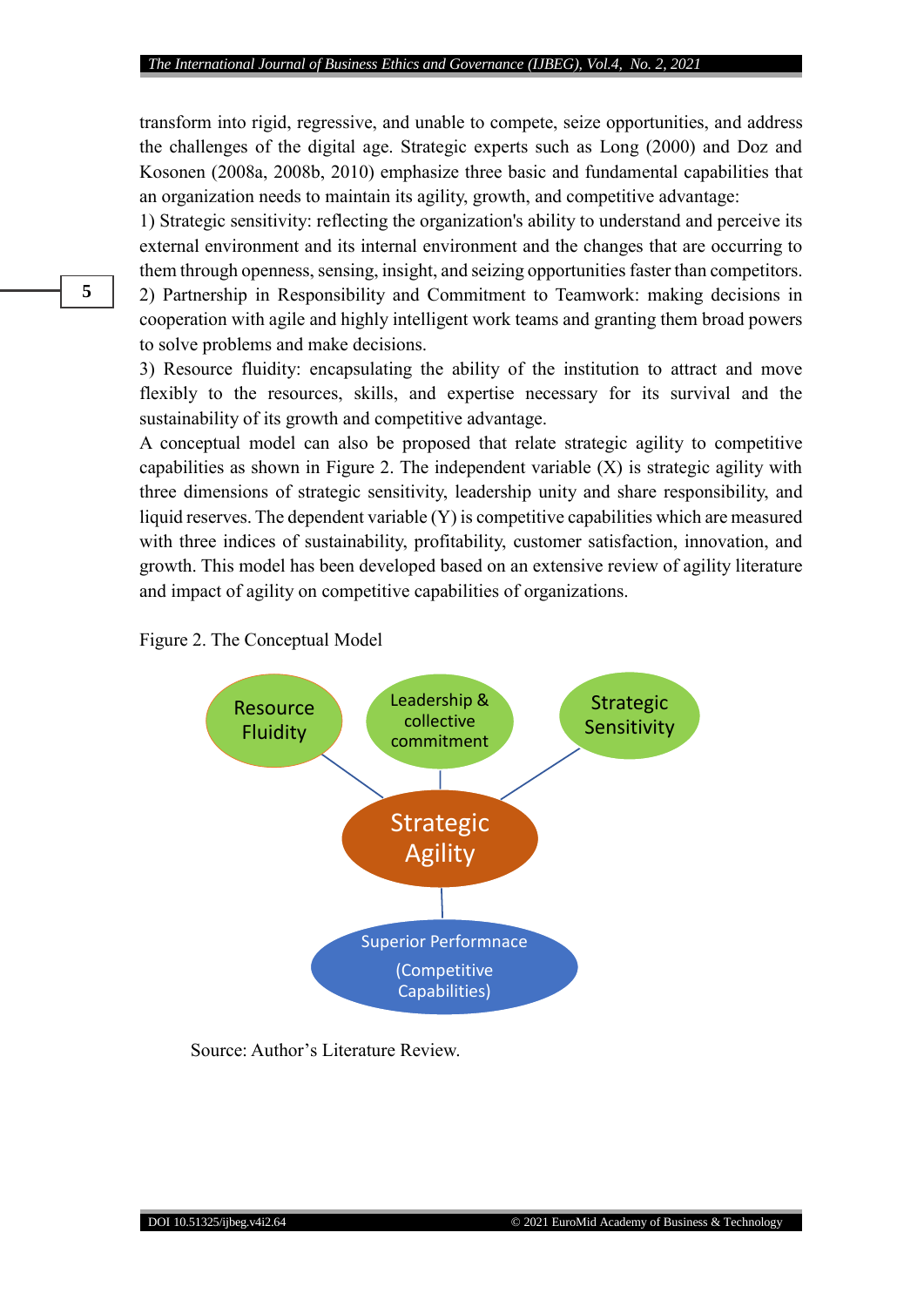transform into rigid, regressive, and unable to compete, seize opportunities, and address the challenges of the digital age. Strategic experts such as Long (2000) and Doz and Kosonen (2008a, 2008b, 2010) emphasize three basic and fundamental capabilities that an organization needs to maintain its agility, growth, and competitive advantage:

1) Strategic sensitivity: reflecting the organization's ability to understand and perceive its external environment and its internal environment and the changes that are occurring to them through openness, sensing, insight, and seizing opportunities faster than competitors. 2) Partnership in Responsibility and Commitment to Teamwork: making decisions in cooperation with agile and highly intelligent work teams and granting them broad powers to solve problems and make decisions.

3) Resource fluidity: encapsulating the ability of the institution to attract and move flexibly to the resources, skills, and expertise necessary for its survival and the sustainability of its growth and competitive advantage.

A conceptual model can also be proposed that relate strategic agility to competitive capabilities as shown in Figure 2. The independent variable (X) is strategic agility with three dimensions of strategic sensitivity, leadership unity and share responsibility, and liquid reserves. The dependent variable (Y) is competitive capabilities which are measured with three indices of sustainability, profitability, customer satisfaction, innovation, and growth. This model has been developed based on an extensive review of agility literature and impact of agility on competitive capabilities of organizations.

Figure 2. The Conceptual Model



Source: Author's Literature Review.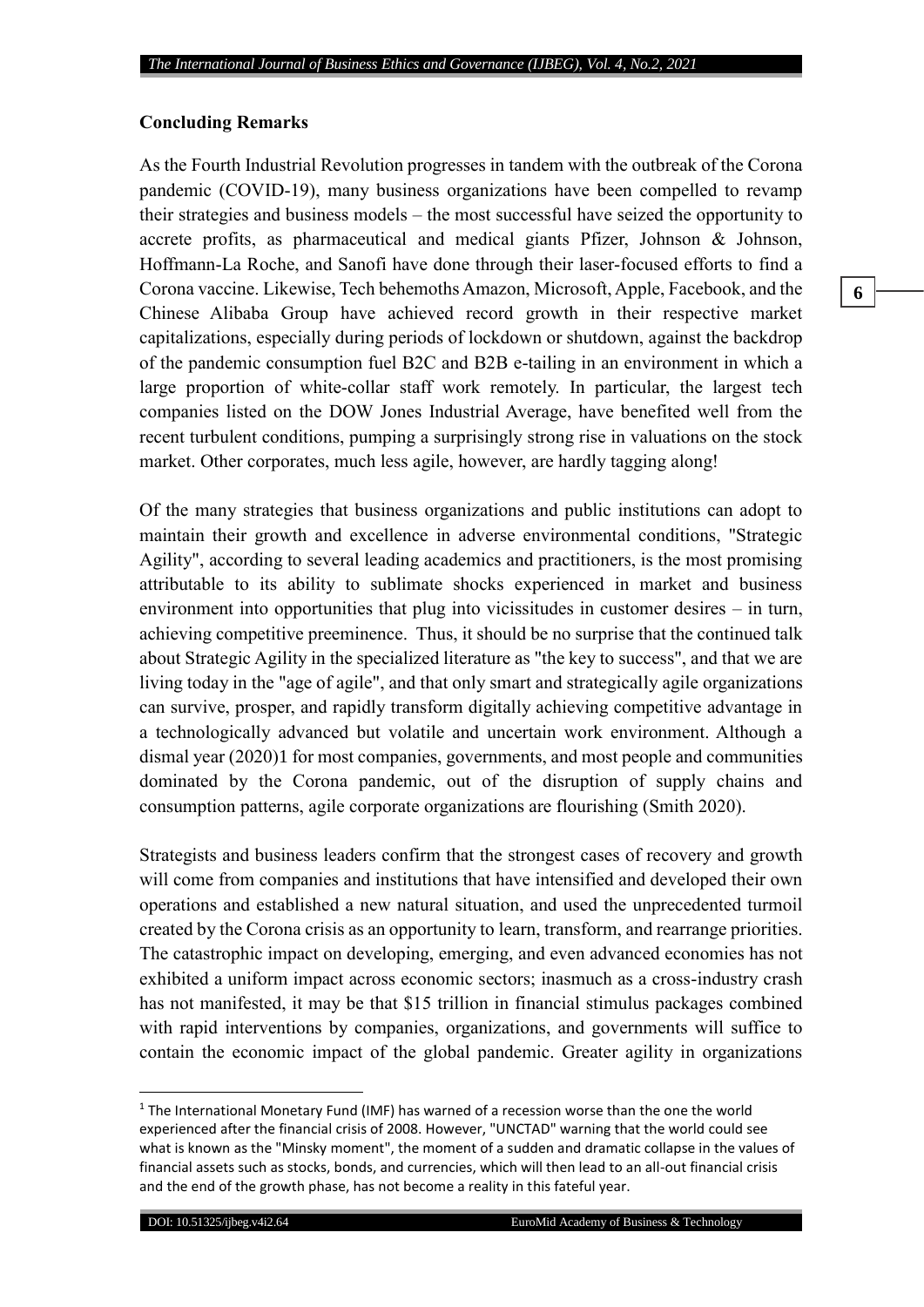### **Concluding Remarks**

As the Fourth Industrial Revolution progresses in tandem with the outbreak of the Corona pandemic (COVID-19), many business organizations have been compelled to revamp their strategies and business models – the most successful have seized the opportunity to accrete profits, as pharmaceutical and medical giants Pfizer, Johnson & Johnson, Hoffmann-La Roche, and Sanofi have done through their laser-focused efforts to find a Corona vaccine. Likewise, Tech behemoths Amazon, Microsoft, Apple, Facebook, and the Chinese Alibaba Group have achieved record growth in their respective market capitalizations, especially during periods of lockdown or shutdown, against the backdrop of the pandemic consumption fuel B2C and B2B e-tailing in an environment in which a large proportion of white-collar staff work remotely. In particular, the largest tech companies listed on the DOW Jones Industrial Average, have benefited well from the recent turbulent conditions, pumping a surprisingly strong rise in valuations on the stock market. Other corporates, much less agile, however, are hardly tagging along!

Of the many strategies that business organizations and public institutions can adopt to maintain their growth and excellence in adverse environmental conditions, "Strategic Agility", according to several leading academics and practitioners, is the most promising attributable to its ability to sublimate shocks experienced in market and business environment into opportunities that plug into vicissitudes in customer desires – in turn, achieving competitive preeminence. Thus, it should be no surprise that the continued talk about Strategic Agility in the specialized literature as "the key to success", and that we are living today in the "age of agile", and that only smart and strategically agile organizations can survive, prosper, and rapidly transform digitally achieving competitive advantage in a technologically advanced but volatile and uncertain work environment. Although a dismal year (2020)1 for most companies, governments, and most people and communities dominated by the Corona pandemic, out of the disruption of supply chains and consumption patterns, agile corporate organizations are flourishing (Smith 2020).

Strategists and business leaders confirm that the strongest cases of recovery and growth will come from companies and institutions that have intensified and developed their own operations and established a new natural situation, and used the unprecedented turmoil created by the Corona crisis as an opportunity to learn, transform, and rearrange priorities. The catastrophic impact on developing, emerging, and even advanced economies has not exhibited a uniform impact across economic sectors; inasmuch as a cross-industry crash has not manifested, it may be that \$15 trillion in financial stimulus packages combined with rapid interventions by companies, organizations, and governments will suffice to contain the economic impact of the global pandemic. Greater agility in organizations

 $\overline{a}$ 

<sup>&</sup>lt;sup>1</sup> The International Monetary Fund (IMF) has warned of a recession worse than the one the world experienced after the financial crisis of 2008. However, "UNCTAD" warning that the world could see what is known as the "Minsky moment", the moment of a sudden and dramatic collapse in the values of financial assets such as stocks, bonds, and currencies, which will then lead to an all-out financial crisis and the end of the growth phase, has not become a reality in this fateful year.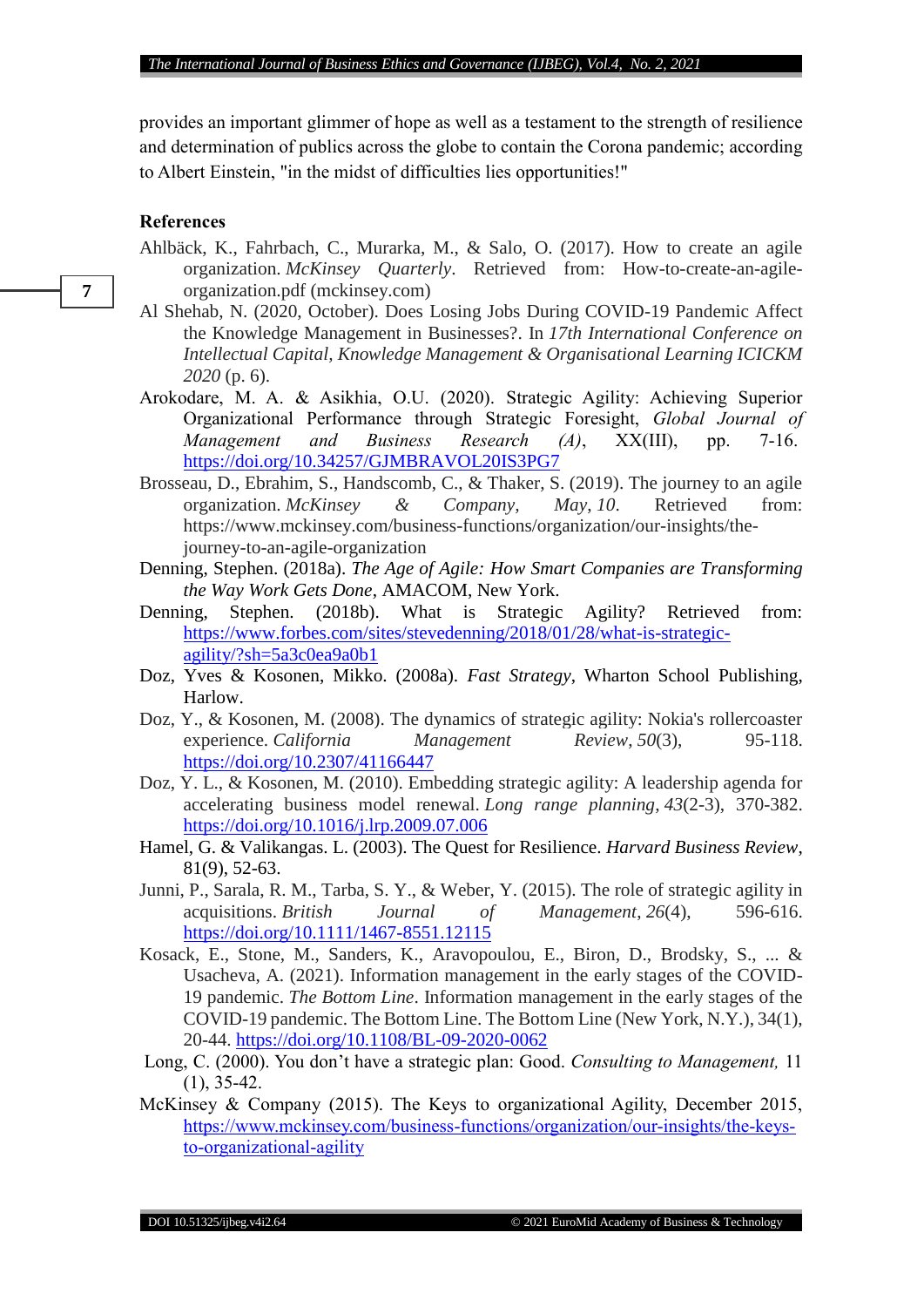provides an important glimmer of hope as well as a testament to the strength of resilience and determination of publics across the globe to contain the Corona pandemic; according to Albert Einstein, "in the midst of difficulties lies opportunities!"

#### **References**

- Ahlbäck, K., Fahrbach, C., Murarka, M., & Salo, O. (2017). How to create an agile organization. *McKinsey Quarterly*. Retrieved from: How-to-create-an-agileorganization.pdf (mckinsey.com)
- Al Shehab, N. (2020, October). Does Losing Jobs During COVID-19 Pandemic Affect the Knowledge Management in Businesses?. In *17th International Conference on Intellectual Capital, Knowledge Management & Organisational Learning ICICKM 2020* (p. 6).
- Arokodare, M. A. & Asikhia, O.U. (2020). Strategic Agility: Achieving Superior Organizational Performance through Strategic Foresight, *Global Journal of Management and Business Research (A)*, XX(III), pp. 7-16[.](https://doi.org/10.34257/GJMBRAVOL20IS3PG7) <https://doi.org/10.34257/GJMBRAVOL20IS3PG7>
- Brosseau, D., Ebrahim, S., Handscomb, C., & Thaker, S. (2019). The journey to an agile organization. *McKinsey & Company, May*, *10*. Retrieved from: https://www.mckinsey.com/business-functions/organization/our-insights/thejourney-to-an-agile-organization
- Denning, Stephen. (2018a). *The Age of Agile: How Smart Companies are Transforming the Way Work Gets Done*, AMACOM, New York.
- Denning, Stephen. (2018b). What is Strategic Agility? Retrieved from: [https://www.forbes.com/sites/stevedenning/2018/01/28/what-is-strategic](https://www.forbes.com/sites/stevedenning/2018/01/28/what-is-strategic-agility/?sh=5a3c0ea9a0b1)[agility/?sh=5a3c0ea9a0b1](https://www.forbes.com/sites/stevedenning/2018/01/28/what-is-strategic-agility/?sh=5a3c0ea9a0b1)
- Doz, Yves & Kosonen, Mikko. (2008a). *Fast Strategy*, Wharton School Publishing, Harlow.
- Doz, Y., & Kosonen, M. (2008). The dynamics of strategic agility: Nokia's rollercoaster experience. *California Management Review*, *50*(3), 95-118. <https://doi.org/10.2307/41166447>
- Doz, Y. L., & Kosonen, M. (2010). Embedding strategic agility: A leadership agenda for accelerating business model renewal. *Long range planning*, *43*(2-3), 370-382. <https://doi.org/10.1016/j.lrp.2009.07.006>
- Hamel, G. & Valikangas. L. (2003). The Quest for Resilience. *Harvard Business Review*, 81(9), 52-63.
- Junni, P., Sarala, R. M., Tarba, S. Y., & Weber, Y. (2015). The role of strategic agility in acquisitions. *British Journal of Management*, *26*(4), 596-616. <https://doi.org/10.1111/1467-8551.12115>
- Kosack, E., Stone, M., Sanders, K., Aravopoulou, E., Biron, D., Brodsky, S., ... & Usacheva, A. (2021). Information management in the early stages of the COVID-19 pandemic. *The Bottom Line*. Information management in the early stages of the COVID-19 pandemic. The Bottom Line. The Bottom Line (New York, N.Y.), 34(1), 20-44.<https://doi.org/10.1108/BL-09-2020-0062>
- Long, C. (2000). You don't have a strategic plan: Good. *Consulting to Management,* 11 (1), 35-42.
- McKinsey & Company (2015). The Keys to organizational Agility, December 2015, [https://www.mckinsey.com/business-functions/organization/our-insights/the-keys](https://www.mckinsey.com/business-functions/organization/our-insights/the-keys-to-organizational-agility)[to-organizational-agility](https://www.mckinsey.com/business-functions/organization/our-insights/the-keys-to-organizational-agility)

**7**